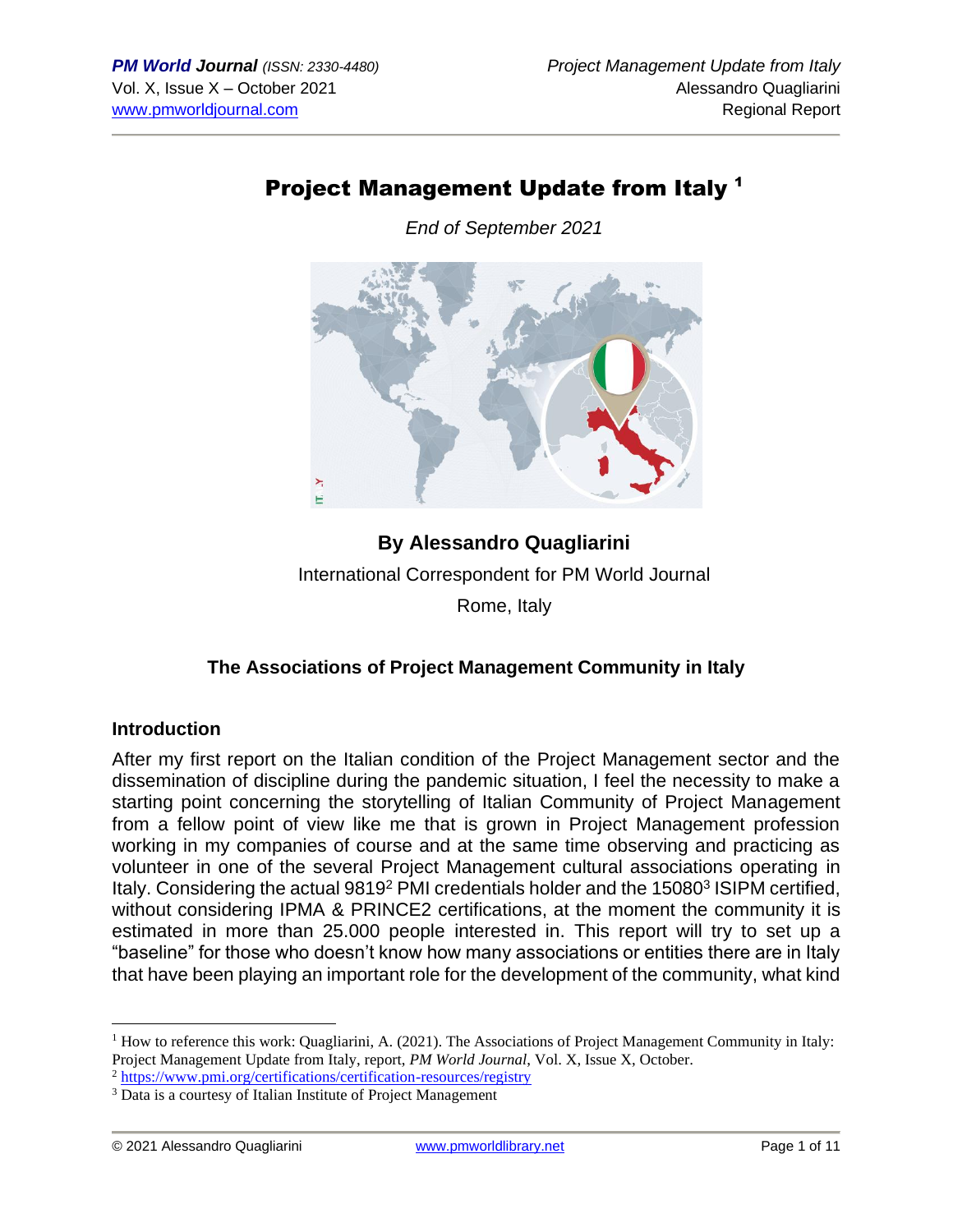# Project Management Update from Italy <sup>1</sup>

*End of September 2021*



**By Alessandro Quagliarini** International Correspondent for PM World Journal Rome, Italy

# **The Associations of Project Management Community in Italy**

#### **Introduction**

After my first report on the Italian condition of the Project Management sector and the dissemination of discipline during the pandemic situation, I feel the necessity to make a starting point concerning the storytelling of Italian Community of Project Management from a fellow point of view like me that is grown in Project Management profession working in my companies of course and at the same time observing and practicing as volunteer in one of the several Project Management cultural associations operating in Italy. Considering the actual 9819<sup>2</sup> PMI credentials holder and the 15080<sup>3</sup> ISIPM certified, without considering IPMA & PRINCE2 certifications, at the moment the community it is estimated in more than 25.000 people interested in. This report will try to set up a "baseline" for those who doesn't know how many associations or entities there are in Italy that have been playing an important role for the development of the community, what kind

<sup>&</sup>lt;sup>1</sup> How to reference this work: Quagliarini, A. (2021). The Associations of Project Management Community in Italy: Project Management Update from Italy, report, *PM World Journal*, Vol. X, Issue X, October.

<sup>&</sup>lt;sup>2</sup> <https://www.pmi.org/certifications/certification-resources/registry>

<sup>&</sup>lt;sup>3</sup> Data is a courtesy of Italian Institute of Project Management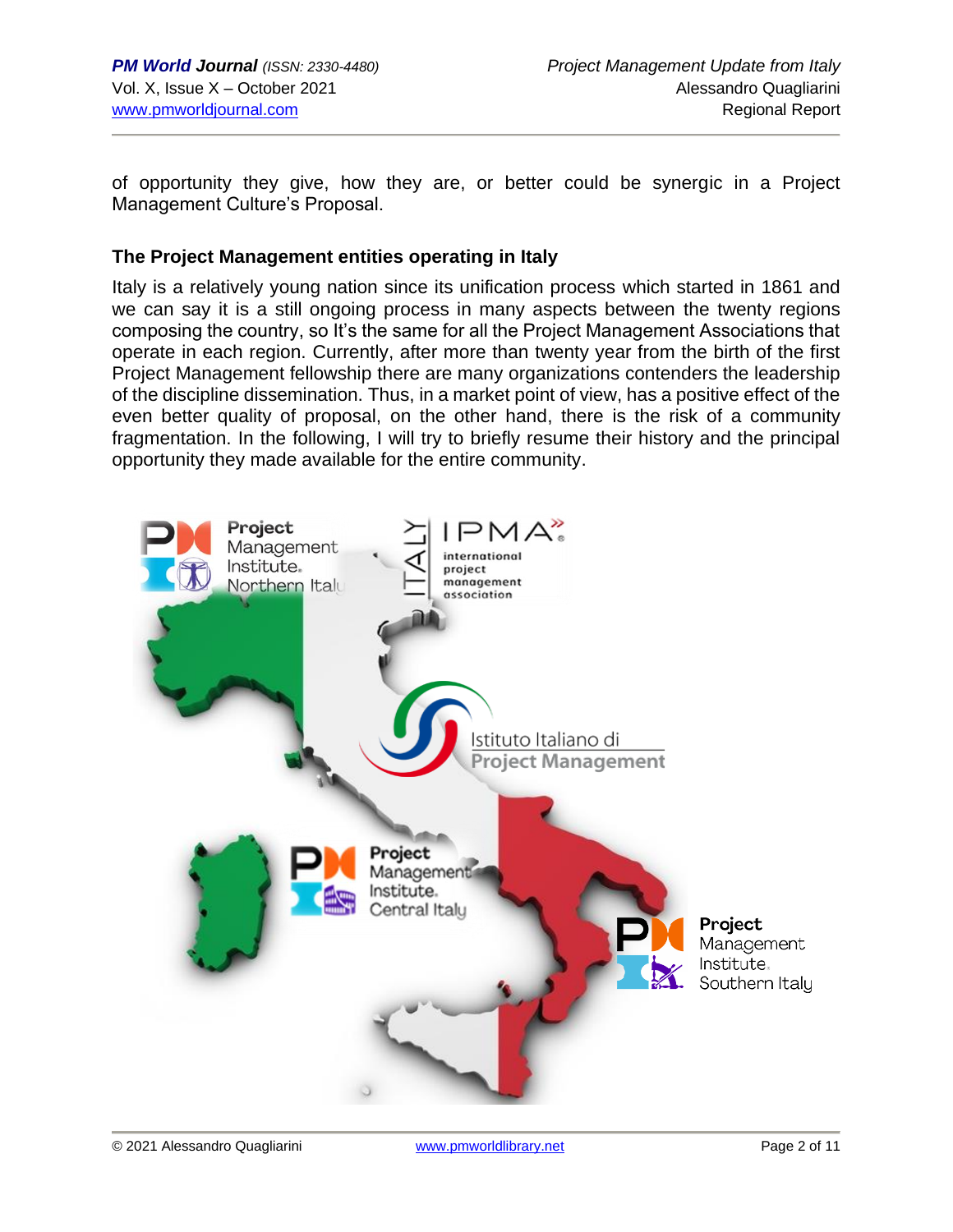of opportunity they give, how they are, or better could be synergic in a Project Management Culture's Proposal.

#### **The Project Management entities operating in Italy**

Italy is a relatively young nation since its unification process which started in 1861 and we can say it is a still ongoing process in many aspects between the twenty regions composing the country, so It's the same for all the Project Management Associations that operate in each region. Currently, after more than twenty year from the birth of the first Project Management fellowship there are many organizations contenders the leadership of the discipline dissemination. Thus, in a market point of view, has a positive effect of the even better quality of proposal, on the other hand, there is the risk of a community fragmentation. In the following, I will try to briefly resume their history and the principal opportunity they made available for the entire community.

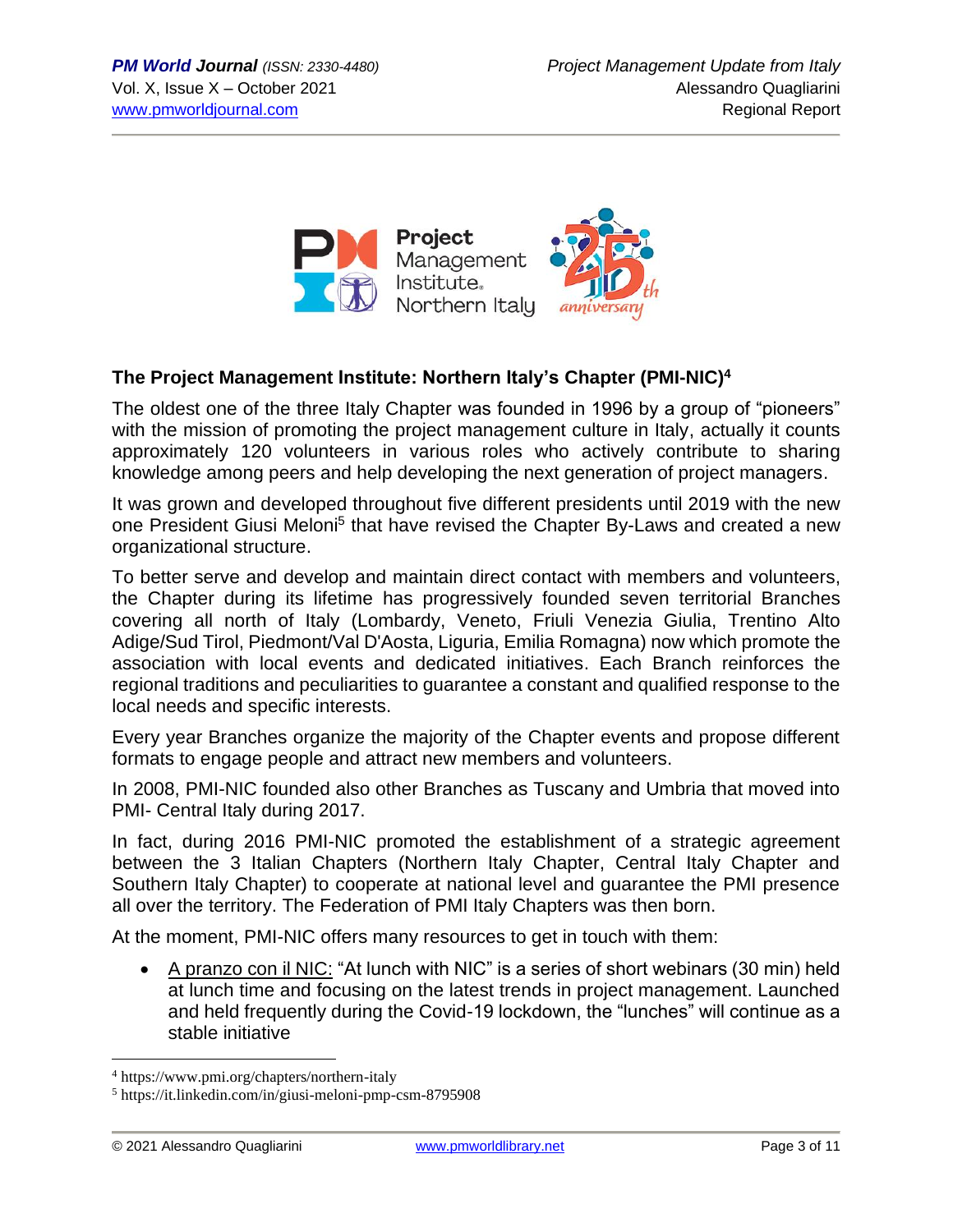

### **The Project Management Institute: Northern Italy's Chapter (PMI-NIC)<sup>4</sup>**

The oldest one of the three Italy Chapter was founded in 1996 by a group of "pioneers" with the mission of promoting the project management culture in Italy, actually it counts approximately 120 volunteers in various roles who actively contribute to sharing knowledge among peers and help developing the next generation of project managers.

It was grown and developed throughout five different presidents until 2019 with the new one President Giusi Meloni<sup>5</sup> that have revised the Chapter By-Laws and created a new organizational structure.

To better serve and develop and maintain direct contact with members and volunteers, the Chapter during its lifetime has progressively founded seven territorial Branches covering all north of Italy (Lombardy, Veneto, Friuli Venezia Giulia, Trentino Alto Adige/Sud Tirol, Piedmont/Val D'Aosta, Liguria, Emilia Romagna) now which promote the association with local events and dedicated initiatives. Each Branch reinforces the regional traditions and peculiarities to guarantee a constant and qualified response to the local needs and specific interests.

Every year Branches organize the majority of the Chapter events and propose different formats to engage people and attract new members and volunteers.

In 2008, PMI-NIC founded also other Branches as Tuscany and Umbria that moved into PMI- Central Italy during 2017.

In fact, during 2016 PMI-NIC promoted the establishment of a strategic agreement between the 3 Italian Chapters (Northern Italy Chapter, Central Italy Chapter and Southern Italy Chapter) to cooperate at national level and guarantee the PMI presence all over the territory. The Federation of PMI Italy Chapters was then born.

At the moment, PMI-NIC offers many resources to get in touch with them:

• A pranzo con il NIC: "At lunch with NIC" is a series of short webinars (30 min) held at lunch time and focusing on the latest trends in project management. Launched and held frequently during the Covid-19 lockdown, the "lunches" will continue as a stable initiative

<sup>4</sup> https://www.pmi.org/chapters/northern-italy

<sup>5</sup> https://it.linkedin.com/in/giusi-meloni-pmp-csm-8795908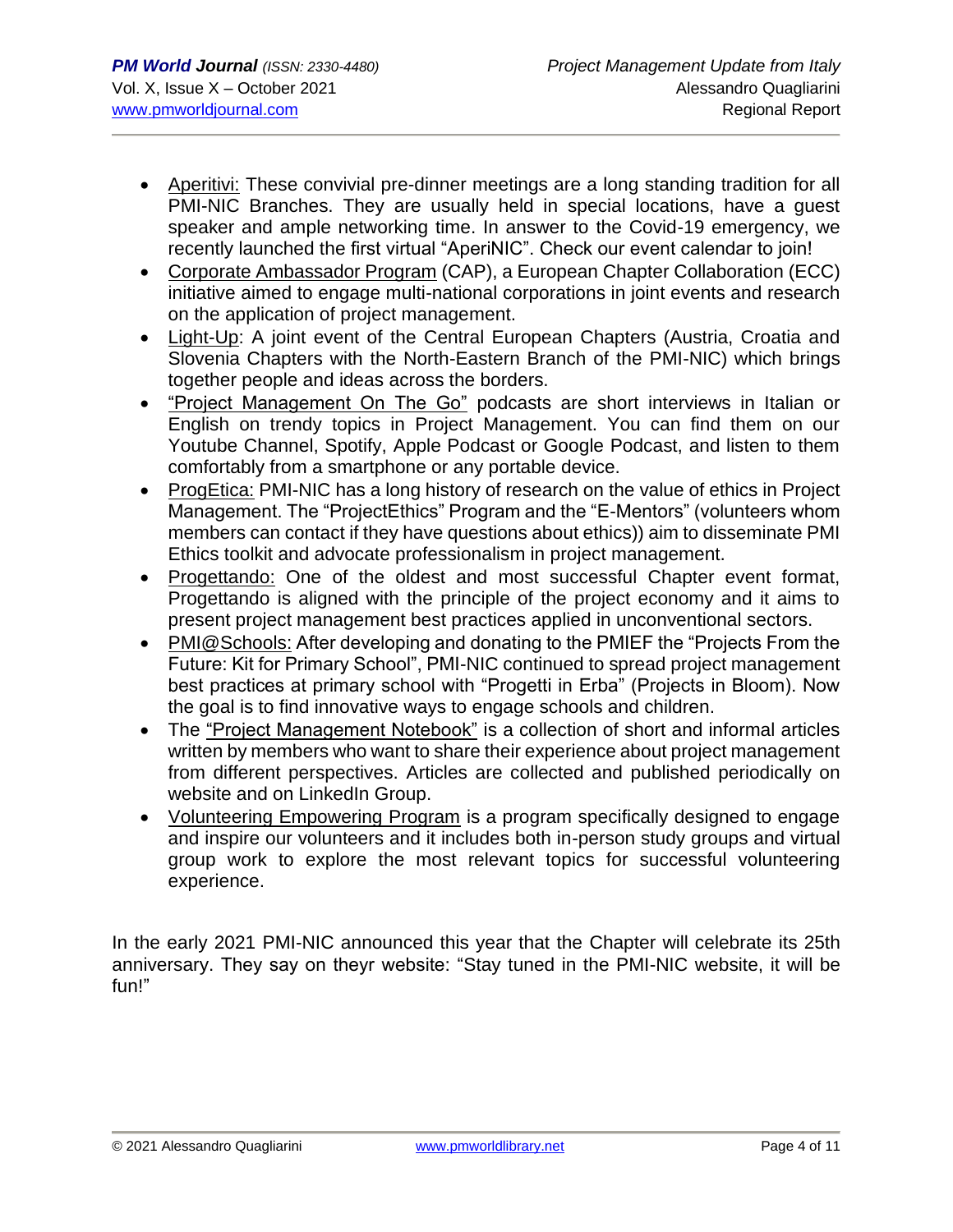- Aperitivi: These convivial pre-dinner meetings are a long standing tradition for all PMI-NIC Branches. They are usually held in special locations, have a guest speaker and ample networking time. In answer to the Covid-19 emergency, we recently launched the first virtual "AperiNIC". Check our event calendar to join!
- Corporate Ambassador Program (CAP), a European Chapter Collaboration (ECC) initiative aimed to engage multi-national corporations in joint events and research on the application of project management.
- Light-Up: A joint event of the Central European Chapters (Austria, Croatia and Slovenia Chapters with the North-Eastern Branch of the PMI-NIC) which brings together people and ideas across the borders.
- "Project Management On The Go" podcasts are short interviews in Italian or English on trendy topics in Project Management. You can find them on our Youtube Channel, Spotify, Apple Podcast or Google Podcast, and listen to them comfortably from a smartphone or any portable device.
- ProgEtica: PMI-NIC has a long history of research on the value of ethics in Project Management. The "ProjectEthics" Program and the "E-Mentors" (volunteers whom members can contact if they have questions about ethics)) aim to disseminate PMI Ethics toolkit and advocate professionalism in project management.
- Progettando: One of the oldest and most successful Chapter event format, Progettando is aligned with the principle of the project economy and it aims to present project management best practices applied in unconventional sectors.
- PMI@Schools: After developing and donating to the PMIEF the "Projects From the Future: Kit for Primary School", PMI-NIC continued to spread project management best practices at primary school with "Progetti in Erba" (Projects in Bloom). Now the goal is to find innovative ways to engage schools and children.
- The "Project Management Notebook" is a collection of short and informal articles written by members who want to share their experience about project management from different perspectives. Articles are collected and published periodically on website and on LinkedIn Group.
- Volunteering Empowering Program is a program specifically designed to engage and inspire our volunteers and it includes both in-person study groups and virtual group work to explore the most relevant topics for successful volunteering experience.

In the early 2021 PMI-NIC announced this year that the Chapter will celebrate its 25th anniversary. They say on theyr website: "Stay tuned in the PMI-NIC website, it will be fun!"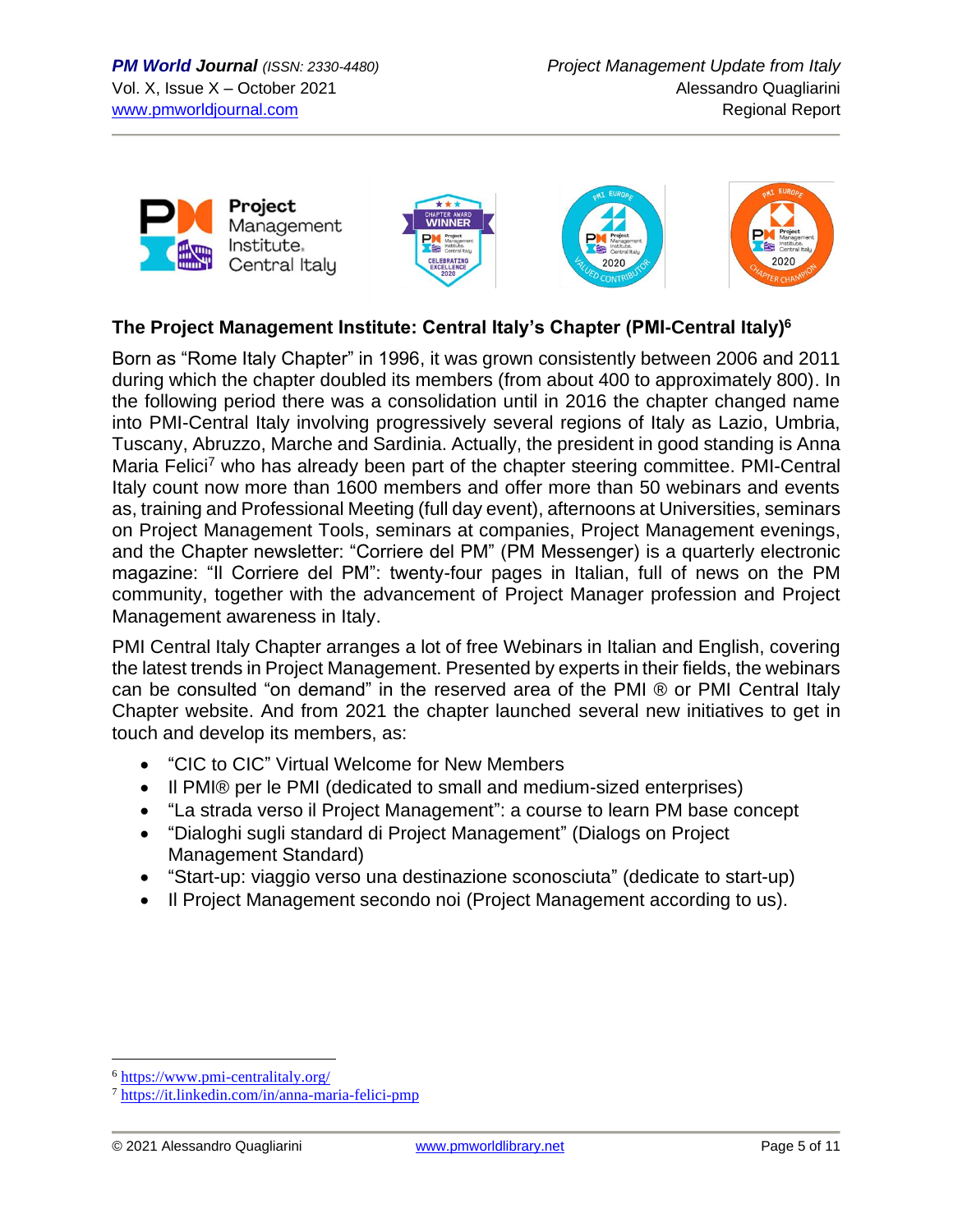







# **The Project Management Institute: Central Italy's Chapter (PMI-Central Italy) 6**

Born as "Rome Italy Chapter" in 1996, it was grown consistently between 2006 and 2011 during which the chapter doubled its members (from about 400 to approximately 800). In the following period there was a consolidation until in 2016 the chapter changed name into PMI-Central Italy involving progressively several regions of Italy as Lazio, Umbria, Tuscany, Abruzzo, Marche and Sardinia. Actually, the president in good standing is Anna Maria Felici<sup>7</sup> who has already been part of the chapter steering committee. PMI-Central Italy count now more than 1600 members and offer more than 50 webinars and events as, training and Professional Meeting (full day event), afternoons at Universities, seminars on Project Management Tools, seminars at companies, Project Management evenings, and the Chapter newsletter: "Corriere del PM" (PM Messenger) is a quarterly electronic magazine: "Il Corriere del PM": twenty-four pages in Italian, full of news on the PM community, together with the advancement of Project Manager profession and Project Management awareness in Italy.

PMI Central Italy Chapter arranges a lot of free Webinars in Italian and English, covering the latest trends in Project Management. Presented by experts in their fields, the webinars can be consulted "on demand" in the reserved area of the PMI ® or PMI Central Italy Chapter website. And from 2021 the chapter launched several new initiatives to get in touch and develop its members, as:

- "CIC to CIC" Virtual Welcome for New Members
- Il PMI® per le PMI (dedicated to small and medium-sized enterprises)
- "La strada verso il Project Management": a course to learn PM base concept
- "Dialoghi sugli standard di Project Management" (Dialogs on Project Management Standard)
- "Start-up: viaggio verso una destinazione sconosciuta" (dedicate to start-up)
- Il Project Management secondo noi (Project Management according to us).

<sup>6</sup> <https://www.pmi-centralitaly.org/>

<sup>7</sup> <https://it.linkedin.com/in/anna-maria-felici-pmp>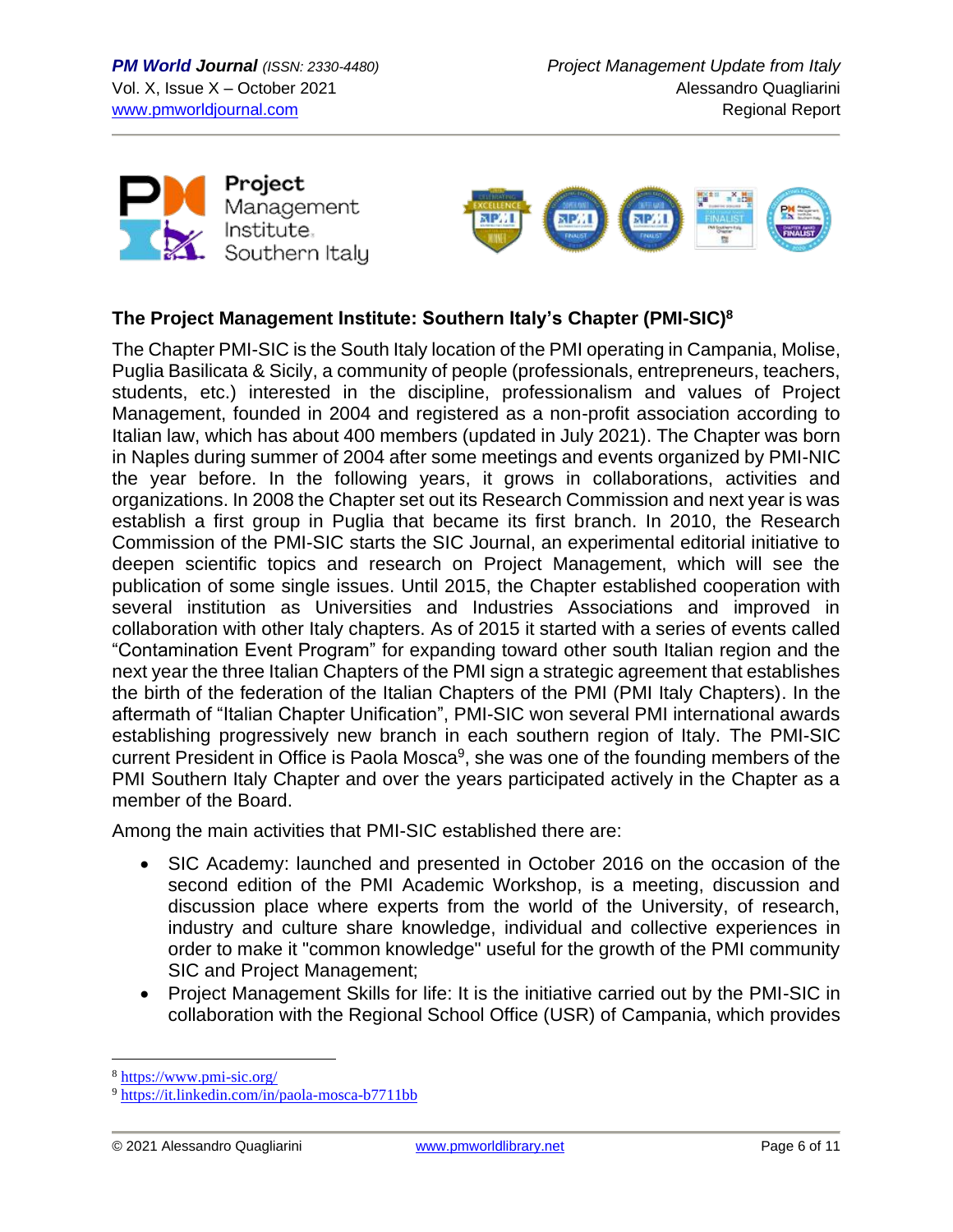



# **The Project Management Institute: Southern Italy's Chapter (PMI-SIC)<sup>8</sup>**

The Chapter PMI-SIC is the South Italy location of the PMI operating in Campania, Molise, Puglia Basilicata & Sicily, a community of people (professionals, entrepreneurs, teachers, students, etc.) interested in the discipline, professionalism and values of Project Management, founded in 2004 and registered as a non-profit association according to Italian law, which has about 400 members (updated in July 2021). The Chapter was born in Naples during summer of 2004 after some meetings and events organized by PMI-NIC the year before. In the following years, it grows in collaborations, activities and organizations. In 2008 the Chapter set out its Research Commission and next year is was establish a first group in Puglia that became its first branch. In 2010, the Research Commission of the PMI-SIC starts the SIC Journal, an experimental editorial initiative to deepen scientific topics and research on Project Management, which will see the publication of some single issues. Until 2015, the Chapter established cooperation with several institution as Universities and Industries Associations and improved in collaboration with other Italy chapters. As of 2015 it started with a series of events called "Contamination Event Program" for expanding toward other south Italian region and the next year the three Italian Chapters of the PMI sign a strategic agreement that establishes the birth of the federation of the Italian Chapters of the PMI (PMI Italy Chapters). In the aftermath of "Italian Chapter Unification", PMI-SIC won several PMI international awards establishing progressively new branch in each southern region of Italy. The PMI-SIC current President in Office is Paola Mosca<sup>9</sup>, she was one of the founding members of the PMI Southern Italy Chapter and over the years participated actively in the Chapter as a member of the Board.

Among the main activities that PMI-SIC established there are:

- SIC Academy: launched and presented in October 2016 on the occasion of the second edition of the PMI Academic Workshop, is a meeting, discussion and discussion place where experts from the world of the University, of research, industry and culture share knowledge, individual and collective experiences in order to make it "common knowledge" useful for the growth of the PMI community SIC and Project Management;
- Project Management Skills for life: It is the initiative carried out by the PMI-SIC in collaboration with the Regional School Office (USR) of Campania, which provides

<sup>8</sup> <https://www.pmi-sic.org/>

<sup>9</sup> <https://it.linkedin.com/in/paola-mosca-b7711bb>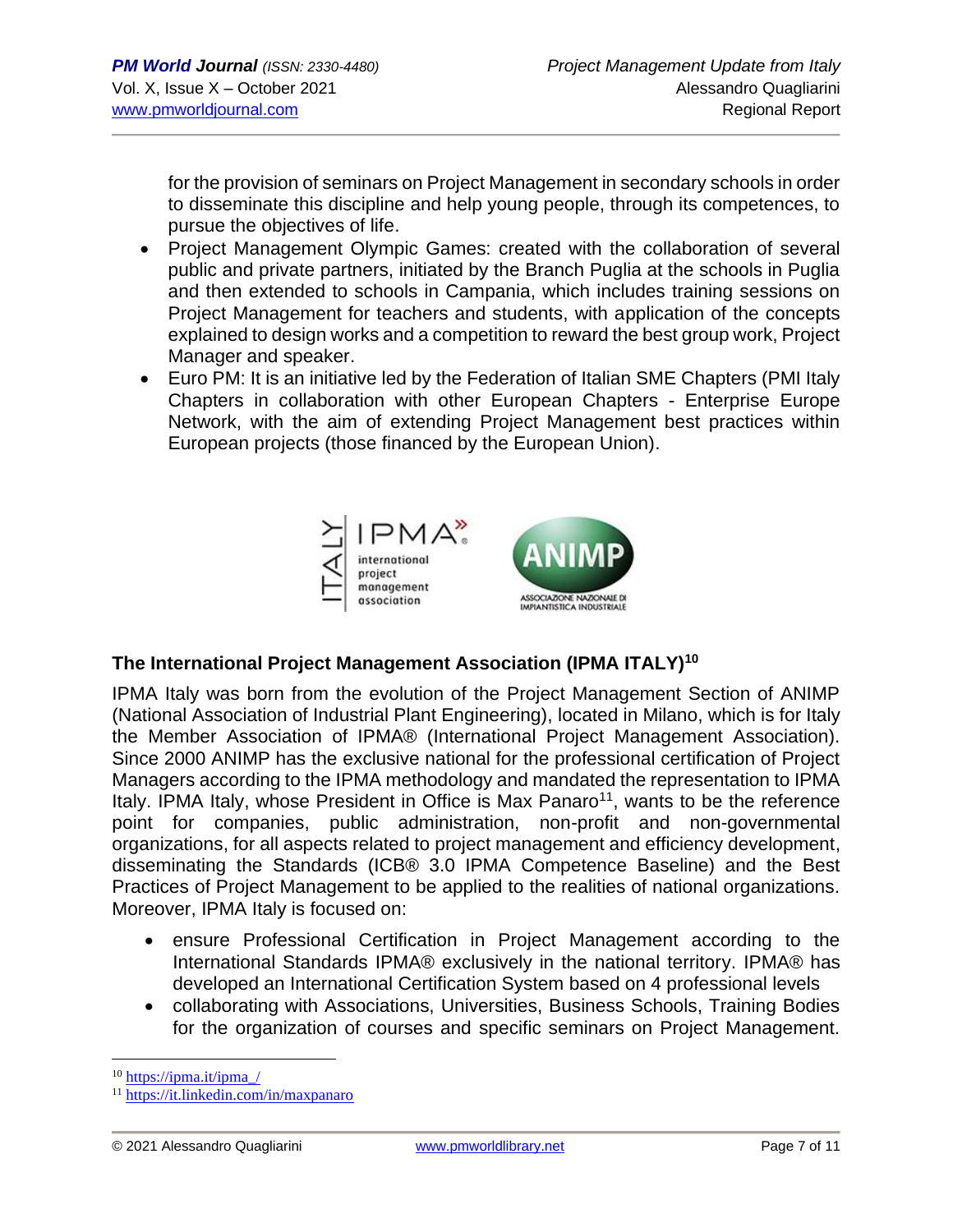for the provision of seminars on Project Management in secondary schools in order to disseminate this discipline and help young people, through its competences, to pursue the objectives of life.

- Project Management Olympic Games: created with the collaboration of several public and private partners, initiated by the Branch Puglia at the schools in Puglia and then extended to schools in Campania, which includes training sessions on Project Management for teachers and students, with application of the concepts explained to design works and a competition to reward the best group work, Project Manager and speaker.
- Euro PM: It is an initiative led by the Federation of Italian SME Chapters (PMI Italy Chapters in collaboration with other European Chapters - Enterprise Europe Network, with the aim of extending Project Management best practices within European projects (those financed by the European Union).



# **The International Project Management Association (IPMA ITALY)<sup>10</sup>**

IPMA Italy was born from the evolution of the Project Management Section of ANIMP (National Association of Industrial Plant Engineering), located in Milano, which is for Italy the Member Association of IPMA® (International Project Management Association). Since 2000 ANIMP has the exclusive national for the professional certification of Project Managers according to the IPMA methodology and mandated the representation to IPMA Italy. IPMA Italy, whose President in Office is Max Panaro<sup>11</sup>, wants to be the reference point for companies, public administration, non-profit and non-governmental organizations, for all aspects related to project management and efficiency development, disseminating the Standards (ICB® 3.0 IPMA Competence Baseline) and the Best Practices of Project Management to be applied to the realities of national organizations. Moreover, IPMA Italy is focused on:

- ensure Professional Certification in Project Management according to the International Standards IPMA® exclusively in the national territory. IPMA® has developed an International Certification System based on 4 professional levels
- collaborating with Associations, Universities, Business Schools, Training Bodies for the organization of courses and specific seminars on Project Management.

 $10$  [https://ipma.it/ipma\\_/](https://ipma.it/ipma_/)

<sup>11</sup> <https://it.linkedin.com/in/maxpanaro>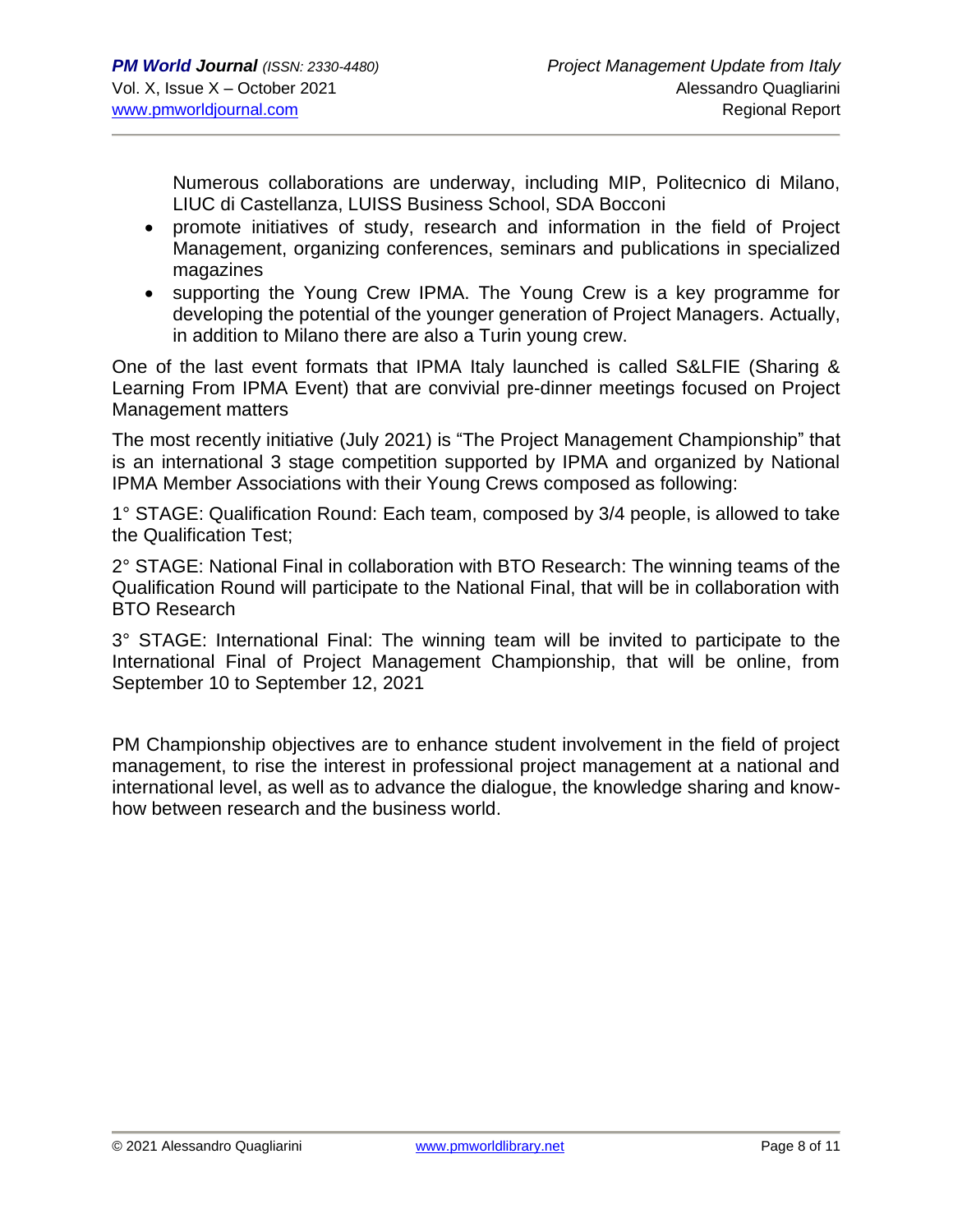Numerous collaborations are underway, including MIP, Politecnico di Milano, LIUC di Castellanza, LUISS Business School, SDA Bocconi

- promote initiatives of study, research and information in the field of Project Management, organizing conferences, seminars and publications in specialized magazines
- supporting the Young Crew IPMA. The Young Crew is a key programme for developing the potential of the younger generation of Project Managers. Actually, in addition to Milano there are also a Turin young crew.

One of the last event formats that IPMA Italy launched is called S&LFIE (Sharing & Learning From IPMA Event) that are convivial pre-dinner meetings focused on Project Management matters

The most recently initiative (July 2021) is "The Project Management Championship" that is an international 3 stage competition supported by IPMA and organized by National IPMA Member Associations with their Young Crews composed as following:

1° STAGE: Qualification Round: Each team, composed by 3/4 people, is allowed to take the Qualification Test;

2° STAGE: National Final in collaboration with BTO Research: The winning teams of the Qualification Round will participate to the National Final, that will be in collaboration with BTO Research

3° STAGE: International Final: The winning team will be invited to participate to the International Final of Project Management Championship, that will be online, from September 10 to September 12, 2021

PM Championship objectives are to enhance student involvement in the field of project management, to rise the interest in professional project management at a national and international level, as well as to advance the dialogue, the knowledge sharing and knowhow between research and the business world.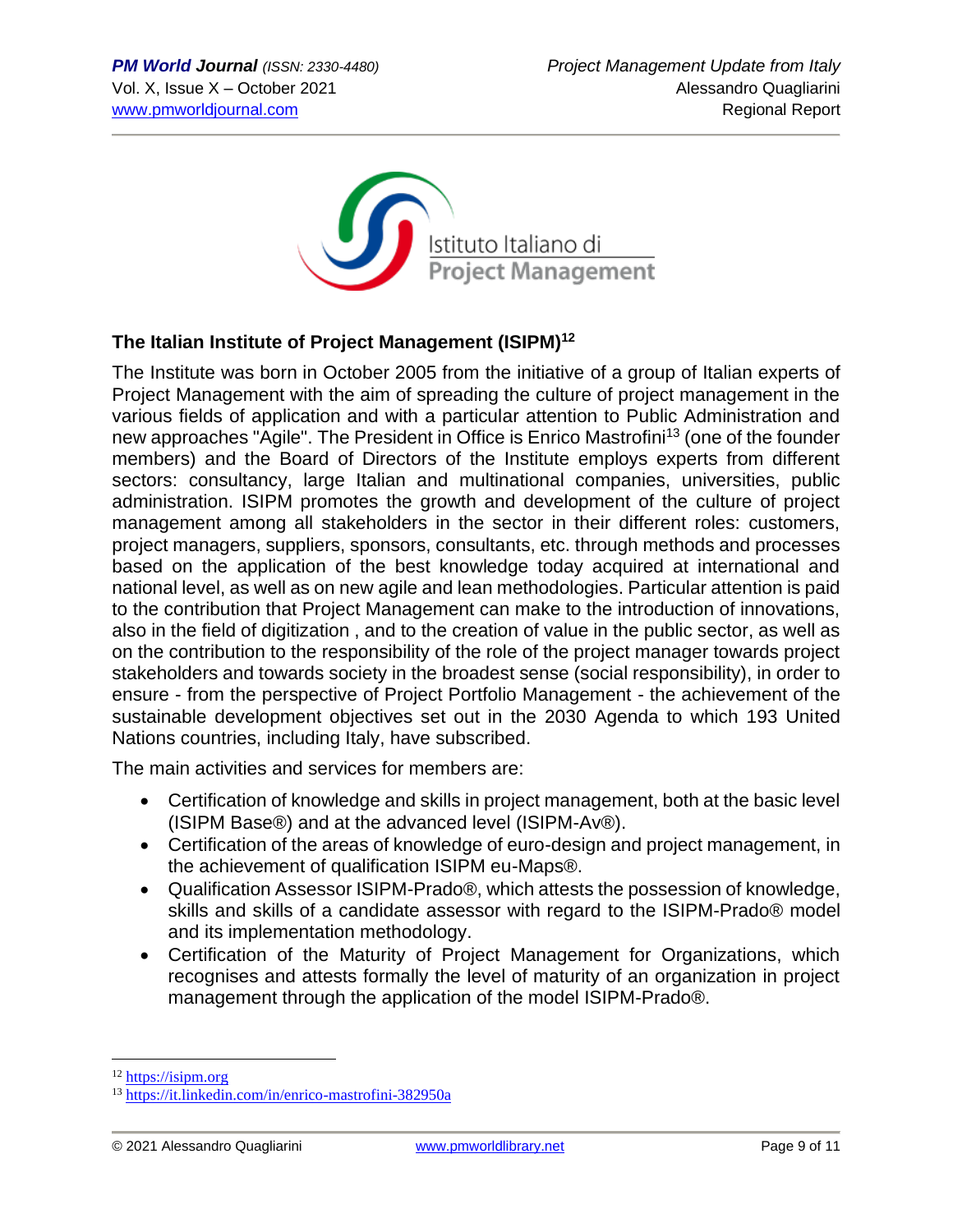

# **The Italian Institute of Project Management (ISIPM)<sup>12</sup>**

The Institute was born in October 2005 from the initiative of a group of Italian experts of Project Management with the aim of spreading the culture of project management in the various fields of application and with a particular attention to Public Administration and new approaches "Agile". The President in Office is Enrico Mastrofini<sup>13</sup> (one of the founder members) and the Board of Directors of the Institute employs experts from different sectors: consultancy, large Italian and multinational companies, universities, public administration. ISIPM promotes the growth and development of the culture of project management among all stakeholders in the sector in their different roles: customers, project managers, suppliers, sponsors, consultants, etc. through methods and processes based on the application of the best knowledge today acquired at international and national level, as well as on new agile and lean methodologies. Particular attention is paid to the contribution that Project Management can make to the introduction of innovations, also in the field of digitization , and to the creation of value in the public sector, as well as on the contribution to the responsibility of the role of the project manager towards project stakeholders and towards society in the broadest sense (social responsibility), in order to ensure - from the perspective of Project Portfolio Management - the achievement of the sustainable development objectives set out in the 2030 Agenda to which 193 United Nations countries, including Italy, have subscribed.

The main activities and services for members are:

- Certification of knowledge and skills in project management, both at the basic level (ISIPM Base®) and at the advanced level (ISIPM-Av®).
- Certification of the areas of knowledge of euro-design and project management, in the achievement of qualification ISIPM eu-Maps®.
- Qualification Assessor ISIPM-Prado®, which attests the possession of knowledge, skills and skills of a candidate assessor with regard to the ISIPM-Prado® model and its implementation methodology.
- Certification of the Maturity of Project Management for Organizations, which recognises and attests formally the level of maturity of an organization in project management through the application of the model ISIPM-Prado®.

<sup>&</sup>lt;sup>12</sup> [https://isipm.org](https://isipm.org/)

<sup>13</sup> <https://it.linkedin.com/in/enrico-mastrofini-382950a>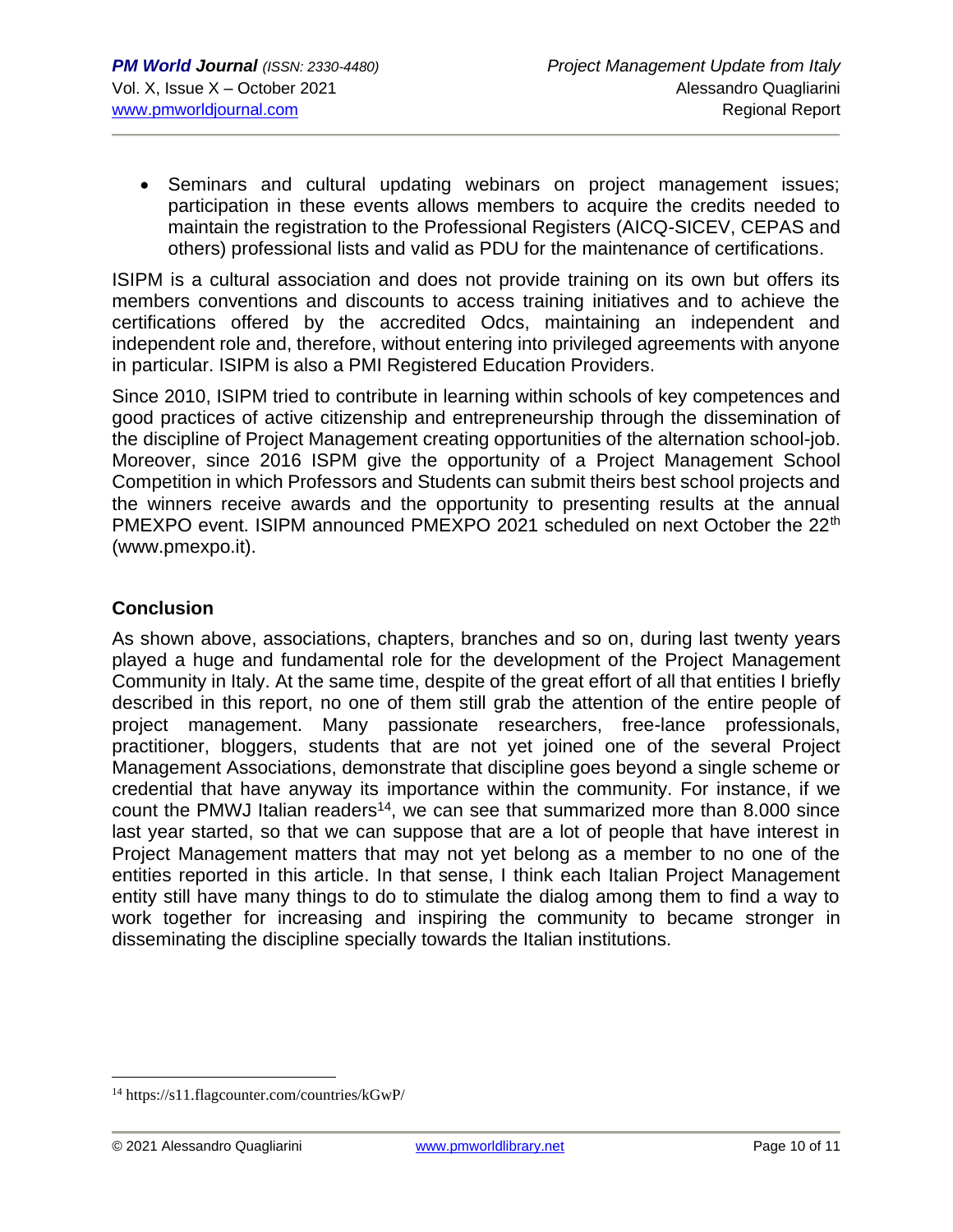• Seminars and cultural updating webinars on project management issues; participation in these events allows members to acquire the credits needed to maintain the registration to the Professional Registers (AICQ-SICEV, CEPAS and others) professional lists and valid as PDU for the maintenance of certifications.

ISIPM is a cultural association and does not provide training on its own but offers its members conventions and discounts to access training initiatives and to achieve the certifications offered by the accredited Odcs, maintaining an independent and independent role and, therefore, without entering into privileged agreements with anyone in particular. ISIPM is also a PMI Registered Education Providers.

Since 2010, ISIPM tried to contribute in learning within schools of key competences and good practices of active citizenship and entrepreneurship through the dissemination of the discipline of Project Management creating opportunities of the alternation school-job. Moreover, since 2016 ISPM give the opportunity of a Project Management School Competition in which Professors and Students can submit theirs best school projects and the winners receive awards and the opportunity to presenting results at the annual PMEXPO event. ISIPM announced PMEXPO 2021 scheduled on next October the 22<sup>th</sup> (www.pmexpo.it).

### **Conclusion**

As shown above, associations, chapters, branches and so on, during last twenty years played a huge and fundamental role for the development of the Project Management Community in Italy. At the same time, despite of the great effort of all that entities I briefly described in this report, no one of them still grab the attention of the entire people of project management. Many passionate researchers, free-lance professionals, practitioner, bloggers, students that are not yet joined one of the several Project Management Associations, demonstrate that discipline goes beyond a single scheme or credential that have anyway its importance within the community. For instance, if we count the PMWJ Italian readers<sup>14</sup>, we can see that summarized more than 8.000 since last year started, so that we can suppose that are a lot of people that have interest in Project Management matters that may not yet belong as a member to no one of the entities reported in this article. In that sense, I think each Italian Project Management entity still have many things to do to stimulate the dialog among them to find a way to work together for increasing and inspiring the community to became stronger in disseminating the discipline specially towards the Italian institutions.

<sup>14</sup> https://s11.flagcounter.com/countries/kGwP/